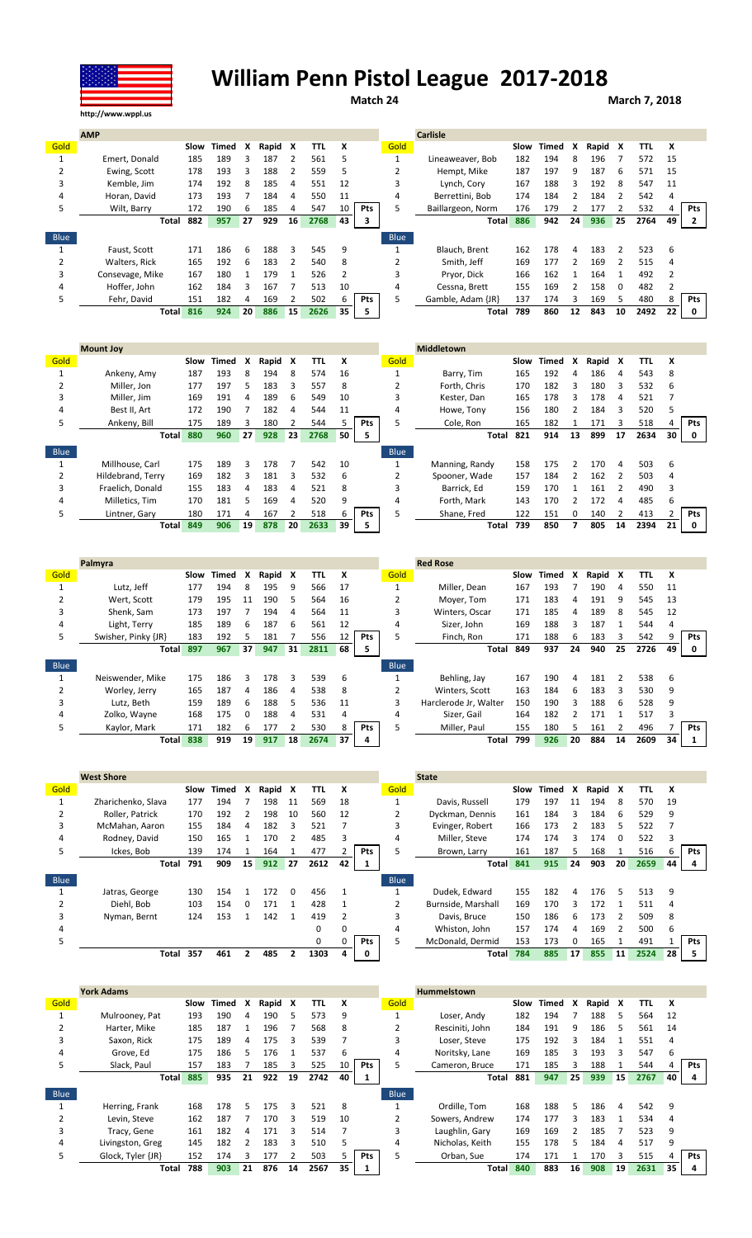

## **William Penn Pistol League 2017-2018**

**Match 24 March 7, 2018**

|             | <b>AMP</b>      |      |              |    |       |    |      |    |            |             | <b>Carlisle</b>   |      |       |    |       |          |      |    |            |
|-------------|-----------------|------|--------------|----|-------|----|------|----|------------|-------------|-------------------|------|-------|----|-------|----------|------|----|------------|
| Gold        |                 | Slow | <b>Timed</b> | x  | Rapid | х  | TTL  | X  |            | Gold        |                   | Slow | Timed | x  | Rapid | x        | TTL  | x  |            |
|             | Emert, Donald   | 185  | 189          |    | 187   |    | 561  |    |            |             | Lineaweaver, Bob  | 182  | 194   | 8  | 196   |          | 572  | 15 |            |
|             | Ewing, Scott    | 178  | 193          |    | 188   |    | 559  | 5  |            |             | Hempt, Mike       | 187  | 197   | 9  | 187   | 6        | 571  | 15 |            |
| 3           | Kemble, Jim     | 174  | 192          |    | 185   | 4  | 551  | 12 |            |             | Lynch, Cory       | 167  | 188   |    | 192   | 8        | 547  | 11 |            |
| 4           | Horan, David    | 173  | 193          |    | 184   | 4  | 550  | 11 |            | 4           | Berrettini, Bob   | 174  | 184   |    | 184   |          | 542  | 4  |            |
| 5.          | Wilt, Barry     | 172  | 190          | 6  | 185   | 4  | 547  | 10 | <b>Pts</b> |             | Baillargeon, Norm | 176  | 179   |    | 177   |          | 532  |    | <b>Pts</b> |
|             | Total           | 882  | 957          | 27 | 929   | 16 | 2768 | 43 | 3          |             | <b>Total</b>      | 886  | 942   | 24 | 936   | 25       | 2764 | 49 | 2          |
| <b>Blue</b> |                 |      |              |    |       |    |      |    |            | <b>Blue</b> |                   |      |       |    |       |          |      |    |            |
|             | Faust, Scott    | 171  | 186          | 6  | 188   | ς  | 545  | 9  |            |             | Blauch, Brent     | 162  | 178   | Δ  | 183   | 2        | 523  | 6  |            |
|             | Walters, Rick   | 165  | 192          | 6  | 183   |    | 540  | 8  |            |             | Smith. Jeff       | 169  | 177   |    | 169   |          | 515  |    |            |
| 3           | Consevage, Mike | 167  | 180          |    | 179   |    | 526  | 2  |            | ٩           | Pryor, Dick       | 166  | 162   |    | 164   |          | 492  |    |            |
| 4           | Hoffer. John    | 162  | 184          |    | 167   |    | 513  | 10 |            | 4           | Cessna, Brett     | 155  | 169   |    | 158   | $\Omega$ | 482  |    |            |
| 5           | Fehr, David     | 151  | 182          | 4  | 169   |    | 502  | h  | Pts        |             | Gamble, Adam {JR} | 137  | 174   | ર  | 169   | 5        | 480  | 8  | <b>Pts</b> |
|             | <b>Total</b>    | 816  | 924          | 20 | 886   | 15 | 2626 | 35 |            |             | Total             | 789  | 860   | 12 | 843   | 10       | 2492 | 22 |            |

| <b>Mount Joy</b>  |      |                              |    |       |    |      |    |            |             | <b>Middletown</b> |     |       |      |       |               |      |    |     |
|-------------------|------|------------------------------|----|-------|----|------|----|------------|-------------|-------------------|-----|-------|------|-------|---------------|------|----|-----|
|                   | Slow | Timed                        | X  | Rapid | X  | TΤL  | x  |            | Gold        |                   |     | Timed | x    | Rapid | X             | TTL  | x  |     |
| Ankeny, Amy       | 187  | 193                          | 8  | 194   | 8  | 574  | 16 |            |             | Barry, Tim        | 165 | 192   | 4    | 186   | 4             | 543  | 8  |     |
| Miller, Jon       | 177  | 197                          | 5. | 183   | 3  | 557  | 8  |            |             | Forth. Chris      | 170 | 182   | 3    | 180   | 3             | 532  | 6  |     |
| Miller, Jim       | 169  | 191                          | 4  | 189   | 6  | 549  | 10 |            | ς           | Kester, Dan       | 165 | 178   |      | 178   | 4             | 521  |    |     |
| Best II, Art      | 172  | 190                          |    | 182   | 4  | 544  | 11 |            | 4           | Howe, Tony        | 156 | 180   |      | 184   | 3             | 520  | 5  |     |
| Ankeny, Bill      | 175  | 189                          | 3  | 180   |    | 544  |    | <b>Pts</b> | 5           | Cole, Ron         | 165 | 182   |      | 171   | 3             | 518  |    | Pts |
|                   | 880  | 960                          | 27 | 928   | 23 | 2768 | 50 | -5         |             | Total             | 821 | 914   | 13   | 899   | 17            | 2634 | 30 | 0   |
|                   |      |                              |    |       |    |      |    |            | <b>Blue</b> |                   |     |       |      |       |               |      |    |     |
| Millhouse, Carl   | 175  | 189                          | ς  | 178   |    | 542  | 10 |            |             | Manning, Randy    | 158 | 175   |      | 170   | 4             | 503  | 6  |     |
| Hildebrand, Terry | 169  | 182                          | 3  | 181   | 3  | 532  | 6  |            |             | Spooner, Wade     | 157 | 184   |      | 162   |               | 503  | 4  |     |
| Fraelich. Donald  | 155  | 183                          | 4  | 183   | 4  | 521  | 8  |            | ς           | Barrick. Ed       | 159 | 170   |      | 161   | $\mathcal{P}$ | 490  | 3  |     |
| Milletics, Tim    | 170  | 181                          | 5. | 169   | 4  | 520  | 9  |            | 4           | Forth, Mark       | 143 | 170   |      | 172   | 4             | 485  | 6  |     |
| Lintner, Gary     | 180  | 171                          | 4  | 167   |    | 518  | b  | <b>Pts</b> | 5           | Shane, Fred       | 122 | 151   | 0    | 140   | $\mathcal{P}$ | 413  |    | Pts |
|                   | 849  | 906                          | 19 | 878   | 20 | 2633 | 39 |            |             | Total             | 739 | 850   |      | 805   | 14            | 2394 | 21 | 0   |
|                   |      | <b>Total</b><br><b>Total</b> |    |       |    |      |    |            |             |                   |     |       | Slow |       |               |      |    |     |

|      | Palmyra             |      |       |              |       |    |      |    |            |                | <b>Red Rose</b>       |      |       |    |       |               |            |    |            |
|------|---------------------|------|-------|--------------|-------|----|------|----|------------|----------------|-----------------------|------|-------|----|-------|---------------|------------|----|------------|
| Gold |                     | Slow | Timed | x            | Rapid | X  | TTL  | x  |            | Gold           |                       | Slow | Timed | X  | Rapid | X             | <b>TTL</b> | X  |            |
|      | Lutz, Jeff          | 177  | 194   | 8            | 195   | 9  | 566  | 17 |            |                | Miller. Dean          | 167  | 193   |    | 190   | 4             | 550        | 11 |            |
|      | Wert, Scott         | 179  | 195   | 11           | 190   | 5  | 564  | 16 |            |                | Moyer, Tom            | 171  | 183   | 4  | 191   | 9             | 545        | 13 |            |
| 3    | Shenk, Sam          | 173  | 197   |              | 194   | 4  | 564  | 11 |            |                | Winters, Oscar        | 171  | 185   | 4  | 189   | 8             | 545        | 12 |            |
| 4    | Light, Terry        | 185  | 189   | 6            | 187   | 6  | 561  | 12 |            | 4              | Sizer. John           | 169  | 188   |    | 187   |               | 544        | 4  |            |
| 5.   | Swisher, Pinky {JR} | 183  | 192   |              | 181   |    | 556  | 12 | <b>Pts</b> |                | Finch, Ron            | 171  | 188   | b. | 183   | 3             | 542        |    | <b>Pts</b> |
|      | <b>Total</b>        | 897  | 967   | 37           | 947   | 31 | 2811 | 68 | 5.         |                | Total                 | 849  | 937   | 24 | 940   | 25            | 2726       | 49 | 0          |
| Blue |                     |      |       |              |       |    |      |    |            | <b>Blue</b>    |                       |      |       |    |       |               |            |    |            |
|      | Neiswender, Mike    | 175  | 186   | Ρ            | 178   | 3  | 539  | 6  |            |                | Behling, Jay          | 167  | 190   | 4  | 181   | $\mathcal{P}$ | 538        | 6  |            |
|      |                     |      |       |              |       |    |      |    |            |                |                       |      |       |    |       |               |            |    |            |
|      | Worley, Jerry       | 165  | 187   | 4            | 186   | 4  | 538  | 8  |            | $\overline{2}$ | Winters. Scott        | 163  | 184   | 6  | 183   | ς             | 530        | 9  |            |
|      | Lutz, Beth          | 159  | 189   | 6            | 188   | 5  | 536  | 11 |            | 3              | Harclerode Jr, Walter | 150  | 190   |    | 188   | 6             | 528        | 9  |            |
| 4    | Zolko, Wayne        | 168  | 175   | <sup>0</sup> | 188   | 4  | 531  | 4  |            | 4              | Sizer, Gail           | 164  | 182   |    | 171   |               | 517        |    |            |
| 5    | Kaylor, Mark        | 171  | 182   | 6            | 177   |    | 530  |    | <b>Pts</b> |                | Miller, Paul          | 155  | 180   | 5  | 161   |               | 496        |    | <b>Pts</b> |

|             | <b>West Shore</b>  |      |       |              |       |          |      |    |            |             | <b>State</b>       |      |       |              |         |    |            |    |            |
|-------------|--------------------|------|-------|--------------|-------|----------|------|----|------------|-------------|--------------------|------|-------|--------------|---------|----|------------|----|------------|
| Gold        |                    | Slow | Timed | X            | Rapid | X        | TTL  | x  |            | Gold        |                    | Slow | Timed | X            | Rapid X |    | <b>TTL</b> | x  |            |
|             | Zharichenko, Slava | 177  | 194   |              | 198   | 11       | 569  | 18 |            |             | Davis, Russell     | 179  | 197   | 11           | 194     | 8  | 570        | 19 |            |
|             | Roller, Patrick    | 170  | 192   |              | 198   | 10       | 560  | 12 |            |             | Dyckman, Dennis    | 161  | 184   |              | 184     | 6  | 529        | 9  |            |
| 3           | McMahan, Aaron     | 155  | 184   | 4            | 182   | 3        | 521  |    |            |             | Evinger, Robert    | 166  | 173   |              | 183     | 5. | 522        |    |            |
| 4           | Rodney, David      | 150  | 165   |              | 170   |          | 485  | 3  |            | 4           | Miller, Steve      | 174  | 174   |              | 174     | 0  | 522        | 3  |            |
| 5           | Ickes. Bob         | 139  | 174   |              | 164   |          | 477  |    | <b>Pts</b> |             | Brown, Larry       | 161  | 187   |              | 168     |    | 516        | h  | <b>Pts</b> |
|             | Total              | 791  | 909   | 15           | 912   | 27       | 2612 | 42 |            |             | <b>Total</b>       | 841  | 915   | 24           | 903     | 20 | 2659       | 44 |            |
|             |                    |      |       |              |       |          |      |    |            |             |                    |      |       |              |         |    |            |    |            |
| <b>Blue</b> |                    |      |       |              |       |          |      |    |            | <b>Blue</b> |                    |      |       |              |         |    |            |    |            |
|             | Jatras, George     | 130  | 154   |              | 172   | $\Omega$ | 456  |    |            |             | Dudek, Edward      | 155  | 182   | 4            | 176     | 5  | 513        | 9  |            |
|             | Diehl. Bob         | 103  | 154   | <sup>0</sup> | 171   |          | 428  |    |            |             | Burnside, Marshall | 169  | 170   |              | 172     |    | 511        |    |            |
| 3           | Nyman, Bernt       | 124  | 153   |              | 142   |          | 419  | 2  |            |             | Davis, Bruce       | 150  | 186   | 6            | 173     |    | 509        | 8  |            |
| 4           |                    |      |       |              |       |          | 0    |    |            | 4           | Whiston, John      | 157  | 174   | 4            | 169     |    | 500        | 6  |            |
| 5           |                    |      |       |              |       |          | 0    |    | Pts        |             | McDonald, Dermid   | 153  | 173   | <sup>0</sup> | 165     |    | 491        |    | Pts        |

|      | <b>York Adams</b> |      |       |    |         |    |            |    |            |             | <b>Hummelstown</b> |      |       |    |         |    |      |    |            |
|------|-------------------|------|-------|----|---------|----|------------|----|------------|-------------|--------------------|------|-------|----|---------|----|------|----|------------|
| Gold |                   | Slow | Timed | X  | Rapid X |    | <b>TTL</b> | x  |            | Gold        |                    | Slow | Timed | X  | Rapid X |    | TTL  | x  |            |
|      | Mulrooney, Pat    | 193  | 190   | Δ  | 190     |    | 573        | 9  |            |             | Loser, Andy        | 182  | 194   |    | 188     |    | 564  | 12 |            |
|      | Harter, Mike      | 185  | 187   |    | 196     |    | 568        | 8  |            |             | Resciniti, John    | 184  | 191   | 9  | 186     | 5  | 561  | 14 |            |
| 3    | Saxon, Rick       | 175  | 189   | 4  | 175     | ς  | 539        |    |            |             | Loser. Steve       | 175  | 192   |    | 184     |    | 551  | 4  |            |
| 4    | Grove, Ed         | 175  | 186   | 5  | 176     |    | 537        | b  |            | 4           | Noritsky, Lane     | 169  | 185   |    | 193     | 3  | 547  | 6  |            |
| 5    | Slack, Paul       | 157  | 183   |    | 185     | 3  | 525        | 10 | <b>Pts</b> |             | Cameron, Bruce     | 171  | 185   |    | 188     |    | 544  |    | <b>Pts</b> |
|      | <b>Total</b>      | 885  | 935   | 21 | 922     | 19 | 2742       | 40 |            |             | Total              | 881  | 947   | 25 | 939     | 15 | 2767 | 40 |            |
| Blue |                   |      |       |    |         |    |            |    |            | <b>Blue</b> |                    |      |       |    |         |    |      |    |            |
|      | Herring, Frank    | 168  | 178   | 5. | 175     | ς  | 521        | 8  |            |             | Ordille. Tom       | 168  | 188   | 5. | 186     | 4  | 542  | 9  |            |
|      | Levin. Steve      | 162  | 187   |    | 170     | 3  | 519        | 10 |            |             | Sowers, Andrew     | 174  | 177   | ₹  | 183     |    | 534  | 4  |            |
| 3    | Tracy, Gene       | 161  | 182   | 4  | 171     | ٩  | 514        |    |            |             | Laughlin, Gary     | 169  | 169   |    | 185     |    | 523  | 9  |            |
| 4    | Livingston, Greg  | 145  | 182   |    | 183     | 3  | 510        |    |            | 4           | Nicholas, Keith    | 155  | 178   | 5. | 184     | 4  | 517  | 9  |            |
| 5.   | Glock, Tyler {JR} | 152  | 174   |    | 177     |    | 503        |    | <b>Pts</b> | 5           | Orban, Sue         | 174  | 171   |    | 170     |    | 515  |    | <b>Pts</b> |
|      | Total             | 788  | 903   | 21 | 876     | 14 | 2567       | 35 |            |             | <b>Total</b>       | 840  | 883   | 16 | 908     | 19 | 2631 | 35 |            |